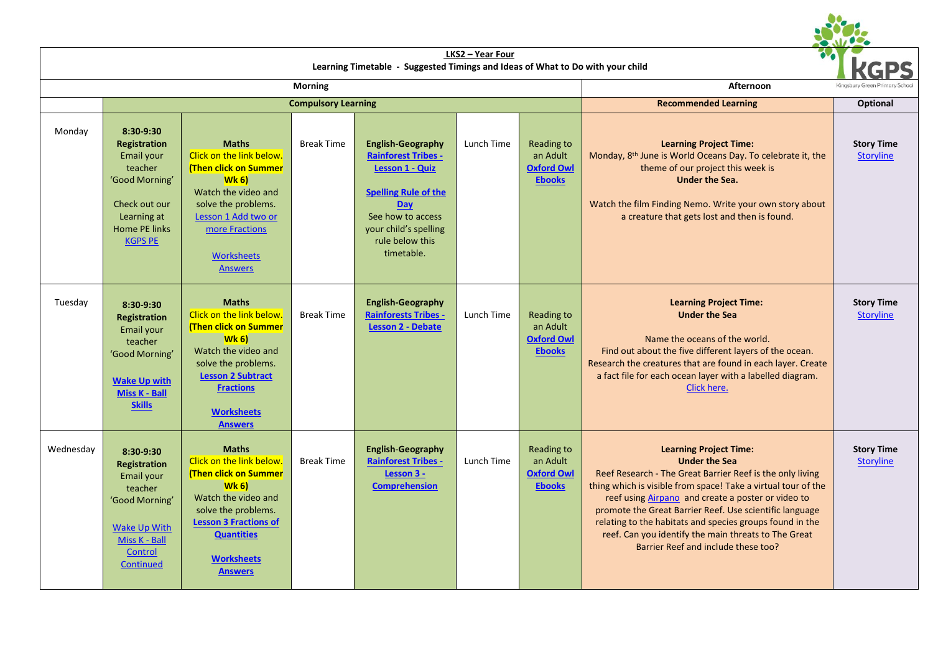|           |                                                                                                                                                |                                                                                                                                                                                                                              | Learning Timetable - Suggested Timings and Ideas of What to Do with your child |                                                                                                                                                                                                              |            |                                                                     |                                                                                                                                                                                                                                                                                                                                                                                                                                                                 |                                       |
|-----------|------------------------------------------------------------------------------------------------------------------------------------------------|------------------------------------------------------------------------------------------------------------------------------------------------------------------------------------------------------------------------------|--------------------------------------------------------------------------------|--------------------------------------------------------------------------------------------------------------------------------------------------------------------------------------------------------------|------------|---------------------------------------------------------------------|-----------------------------------------------------------------------------------------------------------------------------------------------------------------------------------------------------------------------------------------------------------------------------------------------------------------------------------------------------------------------------------------------------------------------------------------------------------------|---------------------------------------|
|           |                                                                                                                                                |                                                                                                                                                                                                                              | Afternoon                                                                      |                                                                                                                                                                                                              |            |                                                                     |                                                                                                                                                                                                                                                                                                                                                                                                                                                                 |                                       |
|           | <b>Compulsory Learning</b>                                                                                                                     |                                                                                                                                                                                                                              |                                                                                |                                                                                                                                                                                                              |            |                                                                     | <b>Recommended Learning</b>                                                                                                                                                                                                                                                                                                                                                                                                                                     | <b>Optional</b>                       |
| Monday    | 8:30-9:30<br>Registration<br>Email your<br>teacher<br>'Good Morning'<br>Check out our<br>Learning at<br><b>Home PE links</b><br><b>KGPS PE</b> | <b>Maths</b><br>Click on the link below.<br><b>(Then click on Summer</b><br>Wk 6<br>Watch the video and<br>solve the problems.<br>Lesson 1 Add two or<br>more Fractions<br><b>Worksheets</b><br><b>Answers</b>               | <b>Break Time</b>                                                              | <b>English-Geography</b><br><b>Rainforest Tribes -</b><br><b>Lesson 1 - Quiz</b><br><b>Spelling Rule of the</b><br><b>Day</b><br>See how to access<br>your child's spelling<br>rule below this<br>timetable. | Lunch Time | Reading to<br>an Adult<br><b>Oxford Owl</b><br><b>Ebooks</b>        | <b>Learning Project Time:</b><br>Monday, 8 <sup>th</sup> June is World Oceans Day. To celebrate it, the<br>theme of our project this week is<br><b>Under the Sea.</b><br>Watch the film Finding Nemo. Write your own story about<br>a creature that gets lost and then is found.                                                                                                                                                                                | <b>Story Time</b><br><b>Storyline</b> |
| Tuesday   | $8:30-9:30$<br>Registration<br>Email your<br>teacher<br>'Good Morning'<br><b>Wake Up with</b><br><b>Miss K - Ball</b><br><b>Skills</b>         | <b>Maths</b><br>Click on the link below.<br><b>(Then click on Summer</b><br>$Wk_6$<br>Watch the video and<br>solve the problems.<br><b>Lesson 2 Subtract</b><br><b>Fractions</b><br><b>Worksheets</b><br><b>Answers</b>      | <b>Break Time</b>                                                              | <b>English-Geography</b><br><b>Rainforests Tribes -</b><br><b>Lesson 2 - Debate</b>                                                                                                                          | Lunch Time | <b>Reading to</b><br>an Adult<br><b>Oxford Owl</b><br><b>Ebooks</b> | <b>Learning Project Time:</b><br><b>Under the Sea</b><br>Name the oceans of the world.<br>Find out about the five different layers of the ocean.<br>Research the creatures that are found in each layer. Create<br>a fact file for each ocean layer with a labelled diagram.<br>Click here.                                                                                                                                                                     | <b>Story Time</b><br><b>Storyline</b> |
| Wednesday | 8:30-9:30<br>Registration<br>Email your<br>teacher<br>'Good Morning'<br><b>Wake Up With</b><br>Miss K - Ball<br>Control<br>Continued           | <b>Maths</b><br>Click on the link below.<br><b>(Then click on Summer</b><br>$Wk_6$<br>Watch the video and<br>solve the problems.<br><b>Lesson 3 Fractions of</b><br><b>Quantities</b><br><b>Worksheets</b><br><b>Answers</b> | <b>Break Time</b>                                                              | <b>English-Geography</b><br><b>Rainforest Tribes -</b><br>Lesson 3 -<br><b>Comprehension</b>                                                                                                                 | Lunch Time | Reading to<br>an Adult<br><b>Oxford Owl</b><br><b>Ebooks</b>        | <b>Learning Project Time:</b><br><b>Under the Sea</b><br>Reef Research - The Great Barrier Reef is the only living<br>thing which is visible from space! Take a virtual tour of the<br>reef using Airpano and create a poster or video to<br>promote the Great Barrier Reef. Use scientific language<br>relating to the habitats and species groups found in the<br>reef. Can you identify the main threats to The Great<br>Barrier Reef and include these too? | <b>Story Time</b><br><b>Storyline</b> |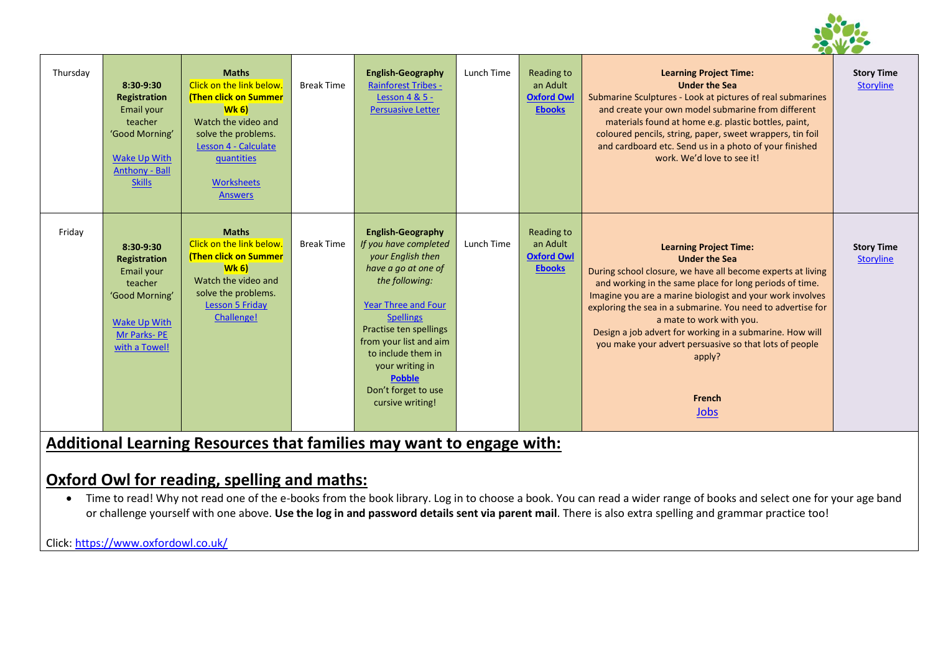

| Thursday | 8:30-9:30<br><b>Registration</b><br>Email your<br>teacher<br>'Good Morning'<br><b>Wake Up With</b><br><b>Anthony - Ball</b><br><b>Skills</b> | <b>Maths</b><br>Click on the link below.<br><b>(Then click on Summer</b><br>$Wk$ 6)<br>Watch the video and<br>solve the problems.<br>Lesson 4 - Calculate<br>quantities<br>Worksheets<br><b>Answers</b> | <b>Break Time</b> | <b>English-Geography</b><br><b>Rainforest Tribes -</b><br>Lesson 4 & 5 -<br><b>Persuasive Letter</b>                                                                                                                                                                                                                       | Lunch Time | Reading to<br>an Adult<br><b>Oxford Owl</b><br><b>Ebooks</b> | <b>Learning Project Time:</b><br><b>Under the Sea</b><br>Submarine Sculptures - Look at pictures of real submarines<br>and create your own model submarine from different<br>materials found at home e.g. plastic bottles, paint,<br>coloured pencils, string, paper, sweet wrappers, tin foil<br>and cardboard etc. Send us in a photo of your finished<br>work. We'd love to see it!                                                                                                    | <b>Story Time</b><br><b>Storyline</b> |
|----------|----------------------------------------------------------------------------------------------------------------------------------------------|---------------------------------------------------------------------------------------------------------------------------------------------------------------------------------------------------------|-------------------|----------------------------------------------------------------------------------------------------------------------------------------------------------------------------------------------------------------------------------------------------------------------------------------------------------------------------|------------|--------------------------------------------------------------|-------------------------------------------------------------------------------------------------------------------------------------------------------------------------------------------------------------------------------------------------------------------------------------------------------------------------------------------------------------------------------------------------------------------------------------------------------------------------------------------|---------------------------------------|
| Friday   | 8:30-9:30<br><b>Registration</b><br>Email your<br>teacher<br>'Good Morning'<br>Wake Up With<br>Mr Parks-PE<br>with a Towel!                  | <b>Maths</b><br>Click on the link below.<br><b>(Then click on Summer</b><br>$Wk$ 6)<br>Watch the video and<br>solve the problems.<br><b>Lesson 5 Friday</b><br>Challenge!                               | <b>Break Time</b> | <b>English-Geography</b><br>If you have completed<br>your English then<br>have a go at one of<br>the following:<br><b>Year Three and Four</b><br><b>Spellings</b><br>Practise ten spellings<br>from your list and aim<br>to include them in<br>your writing in<br><b>Pobble</b><br>Don't forget to use<br>cursive writing! | Lunch Time | Reading to<br>an Adult<br><b>Oxford Owl</b><br><b>Ebooks</b> | <b>Learning Project Time:</b><br><b>Under the Sea</b><br>During school closure, we have all become experts at living<br>and working in the same place for long periods of time.<br>Imagine you are a marine biologist and your work involves<br>exploring the sea in a submarine. You need to advertise for<br>a mate to work with you.<br>Design a job advert for working in a submarine. How will<br>you make your advert persuasive so that lots of people<br>apply?<br>French<br>Jobs | <b>Story Time</b><br><b>Storyline</b> |

# **Additional Learning Resources that families may want to engage with:**

## **Oxford Owl for reading, spelling and maths:**

• Time to read! Why not read one of the e-books from the book library. Log in to choose a book. You can read a wider range of books and select one for your age band or challenge yourself with one above. **Use the log in and password details sent via parent mail**. There is also extra spelling and grammar practice too!

Click[: https://www.oxfordowl.co.uk/](https://www.oxfordowl.co.uk/)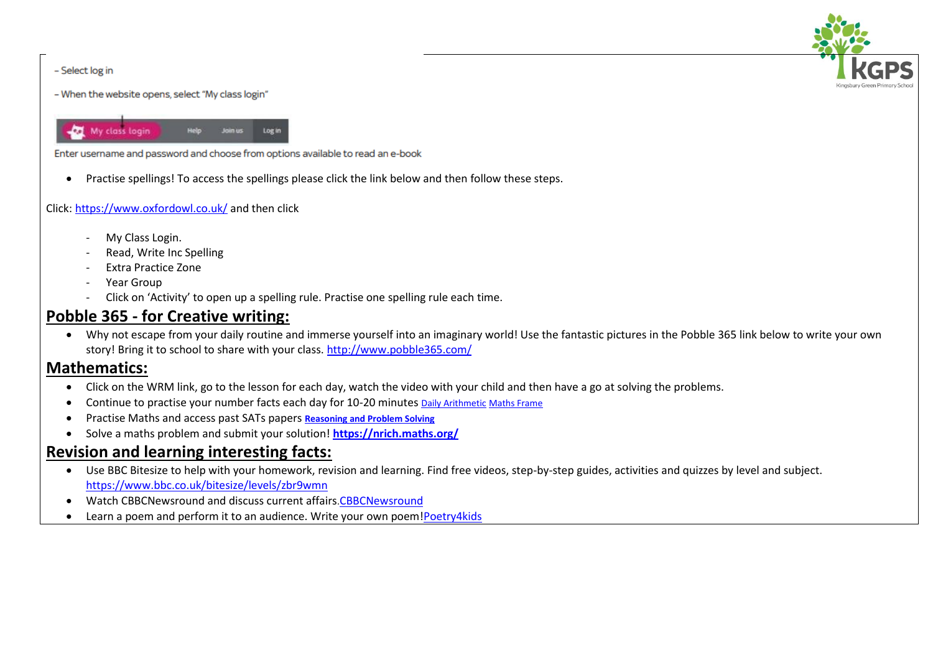

#### - Select log in

- When the website opens, select "My class login"



Enter username and password and choose from options available to read an e-book

Practise spellings! To access the spellings please click the link below and then follow these steps.

#### Click[: https://www.oxfordowl.co.uk/](https://www.oxfordowl.co.uk/) and then click

- My Class Login.
- Read, Write Inc Spelling
- Extra Practice Zone
- Year Group
- Click on 'Activity' to open up a spelling rule. Practise one spelling rule each time.

## **Pobble 365 - for Creative writing:**

 Why not escape from your daily routine and immerse yourself into an imaginary world! Use the fantastic pictures in the Pobble 365 link below to write your own story! Bring it to school to share with your class. <http://www.pobble365.com/>

### **Mathematics:**

- Click on the WRM link, go to the lesson for each day, watch the video with your child and then have a go at solving the problems.
- Continue to practise your number facts each day for 10-20 minutes **[Daily Arithmetic](https://www.topmarks.co.uk/maths-games/daily10) [Maths Frame](https://mathsframe.co.uk/)**
- Practise Maths and access past SATs papers **[Reasoning and Problem Solving](https://primarysite-prod-sorted.s3.amazonaws.com/springcroft-primary-school/UploadedDocument/915522a464444cfa96a70bc9bdaee45d/ultimate-ks2-maths-sats-organiser-y6-daily-mini-videos-puzzles-for-y5.pdf)**
- Solve a maths problem and submit your solution! **<https://nrich.maths.org/>**

## **Revision and learning interesting facts:**

- Use BBC Bitesize to help with your homework, revision and learning. Find free videos, step-by-step guides, activities and quizzes by level and subject. <https://www.bbc.co.uk/bitesize/levels/zbr9wmn>
- Watch CBBCNewsround and discuss current affairs.[CBBCNewsround](https://www.bbc.co.uk/newsround)
- Learn a poem and perform it to an audience. Write your own poem[!Poetry4kids](https://www.poetry4kids.com/)